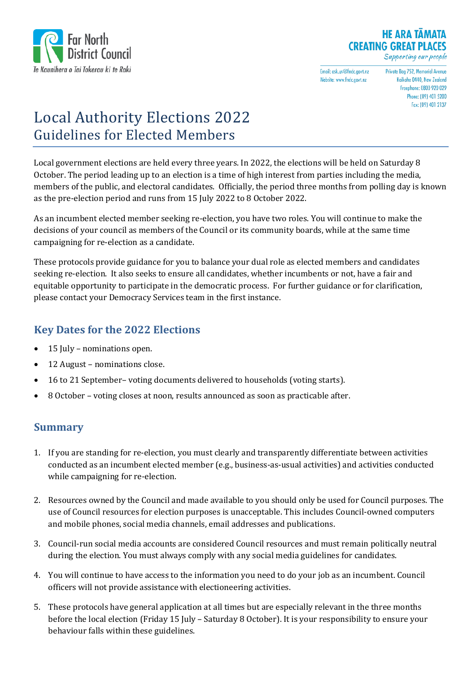

#### **HE ARA TAMATA CREATING GREAT PLACES** Supporting our people

Email: ask.us@fndc.govt.nz Website: www.fndc.govt.nz

Private Bag 752, Memorial Avenue Knikohe 0440 New Zealand Freephone: 0800 920 029 Phone: (09) 401 5200 Fax: (09) 401 2137

# Local Authority Elections 2022 Guidelines for Elected Members

Local government elections are held every three years. In 2022, the elections will be held on Saturday 8 October. The period leading up to an election is a time of high interest from parties including the media, members of the public, and electoral candidates. Officially, the period three months from polling day is known as the pre-election period and runs from 15 July 2022 to 8 October 2022.

As an incumbent elected member seeking re-election, you have two roles. You will continue to make the decisions of your council as members of the Council or its community boards, while at the same time campaigning for re-election as a candidate.

These protocols provide guidance for you to balance your dual role as elected members and candidates seeking re-election. It also seeks to ensure all candidates, whether incumbents or not, have a fair and equitable opportunity to participate in the democratic process. For further guidance or for clarification, please contact your Democracy Services team in the first instance.

### **Key Dates for the 2022 Elections**

- 15 July nominations open.
- 12 August nominations close.
- 16 to 21 September– voting documents delivered to households (voting starts).
- 8 October voting closes at noon, results announced as soon as practicable after.

### **Summary**

- 1. If you are standing for re-election, you must clearly and transparently differentiate between activities conducted as an incumbent elected member (e.g., business-as-usual activities) and activities conducted while campaigning for re-election.
- 2. Resources owned by the Council and made available to you should only be used for Council purposes. The use of Council resources for election purposes is unacceptable. This includes Council-owned computers and mobile phones, social media channels, email addresses and publications.
- 3. Council-run social media accounts are considered Council resources and must remain politically neutral during the election. You must always comply with any social media guidelines for candidates.
- 4. You will continue to have access to the information you need to do your job as an incumbent. Council officers will not provide assistance with electioneering activities.
- 5. These protocols have general application at all times but are especially relevant in the three months before the local election (Friday 15 July – Saturday 8 October). It is your responsibility to ensure your behaviour falls within these guidelines.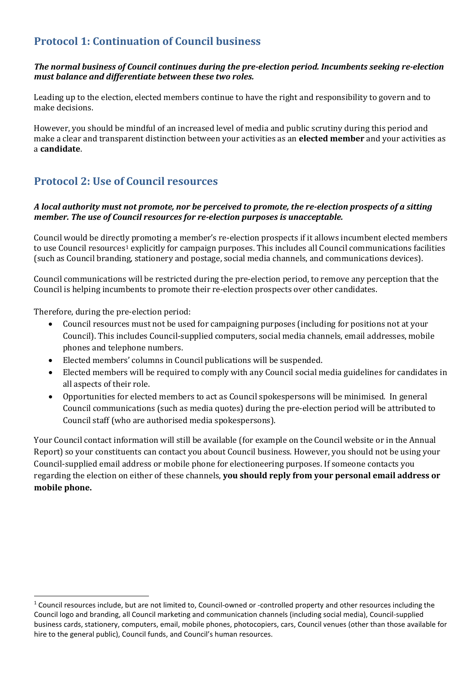# **Protocol 1: Continuation of Council business**

#### *The normal business of Council continues during the pre-election period. Incumbents seeking re-election must balance and differentiate between these two roles.*

Leading up to the election, elected members continue to have the right and responsibility to govern and to make decisions.

However, you should be mindful of an increased level of media and public scrutiny during this period and make a clear and transparent distinction between your activities as an **elected member** and your activities as a **candidate**.

### **Protocol 2: Use of Council resources**

#### *A local authority must not promote, nor be perceived to promote, the re-election prospects of a sitting member. The use of Council resources for re-election purposes is unacceptable.*

Council would be directly promoting a member's re-election prospects if it allows incumbent elected members to use Council resources<sup>[1](#page-1-0)</sup> explicitly for campaign purposes. This includes all Council communications facilities (such as Council branding, stationery and postage, social media channels, and communications devices).

Council communications will be restricted during the pre-election period, to remove any perception that the Council is helping incumbents to promote their re-election prospects over other candidates.

Therefore, during the pre-election period:

- Council resources must not be used for campaigning purposes (including for positions not at your Council). This includes Council-supplied computers, social media channels, email addresses, mobile phones and telephone numbers.
- Elected members' columns in Council publications will be suspended.
- Elected members will be required to comply with any Council social media guidelines for candidates in all aspects of their role.
- Opportunities for elected members to act as Council spokespersons will be minimised. In general Council communications (such as media quotes) during the pre-election period will be attributed to Council staff (who are authorised media spokespersons).

Your Council contact information will still be available (for example on the Council website or in the Annual Report) so your constituents can contact you about Council business. However, you should not be using your Council-supplied email address or mobile phone for electioneering purposes. If someone contacts you regarding the election on either of these channels, **you should reply from your personal email address or mobile phone.**

<span id="page-1-0"></span><sup>&</sup>lt;sup>1</sup> Council resources include, but are not limited to, Council-owned or -controlled property and other resources including the Council logo and branding, all Council marketing and communication channels (including social media), Council-supplied business cards, stationery, computers, email, mobile phones, photocopiers, cars, Council venues (other than those available for hire to the general public), Council funds, and Council's human resources.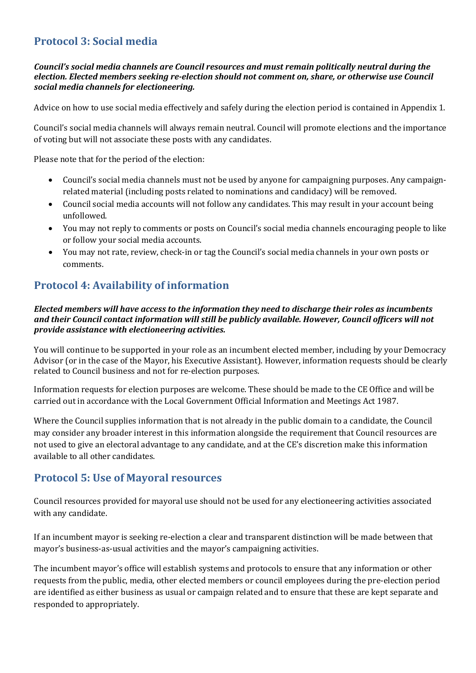# **Protocol 3: Social media**

#### *Council's social media channels are Council resources and must remain politically neutral during the election. Elected members seeking re-election should not comment on, share, or otherwise use Council social media channels for electioneering.*

Advice on how to use social media effectively and safely during the election period is contained in Appendix 1.

Council's social media channels will always remain neutral. Council will promote elections and the importance of voting but will not associate these posts with any candidates.

Please note that for the period of the election:

- Council's social media channels must not be used by anyone for campaigning purposes. Any campaignrelated material (including posts related to nominations and candidacy) will be removed.
- Council social media accounts will not follow any candidates. This may result in your account being unfollowed.
- You may not reply to comments or posts on Council's social media channels encouraging people to like or follow your social media accounts.
- You may not rate, review, check-in or tag the Council's social media channels in your own posts or comments.

# **Protocol 4: Availability of information**

#### *Elected members will have access to the information they need to discharge their roles as incumbents and their Council contact information will still be publicly available. However, Council officers will not provide assistance with electioneering activities.*

You will continue to be supported in your role as an incumbent elected member, including by your Democracy Advisor (or in the case of the Mayor, his Executive Assistant). However, information requests should be clearly related to Council business and not for re-election purposes.

Information requests for election purposes are welcome. These should be made to the CE Office and will be carried out in accordance with the Local Government Official Information and Meetings Act 1987.

Where the Council supplies information that is not already in the public domain to a candidate, the Council may consider any broader interest in this information alongside the requirement that Council resources are not used to give an electoral advantage to any candidate, and at the CE's discretion make this information available to all other candidates.

### **Protocol 5: Use of Mayoral resources**

Council resources provided for mayoral use should not be used for any electioneering activities associated with any candidate.

If an incumbent mayor is seeking re-election a clear and transparent distinction will be made between that mayor's business-as-usual activities and the mayor's campaigning activities.

The incumbent mayor's office will establish systems and protocols to ensure that any information or other requests from the public, media, other elected members or council employees during the pre-election period are identified as either business as usual or campaign related and to ensure that these are kept separate and responded to appropriately.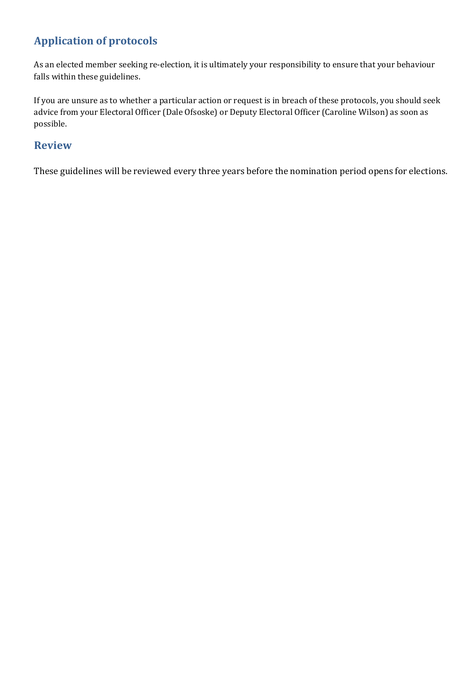# **Application of protocols**

As an elected member seeking re-election, it is ultimately your responsibility to ensure that your behaviour falls within these guidelines.

If you are unsure as to whether a particular action or request is in breach of these protocols, you should seek advice from your Electoral Officer (Dale Ofsoske) or Deputy Electoral Officer (Caroline Wilson) as soon as possible.

### **Review**

These guidelines will be reviewed every three years before the nomination period opens for elections.